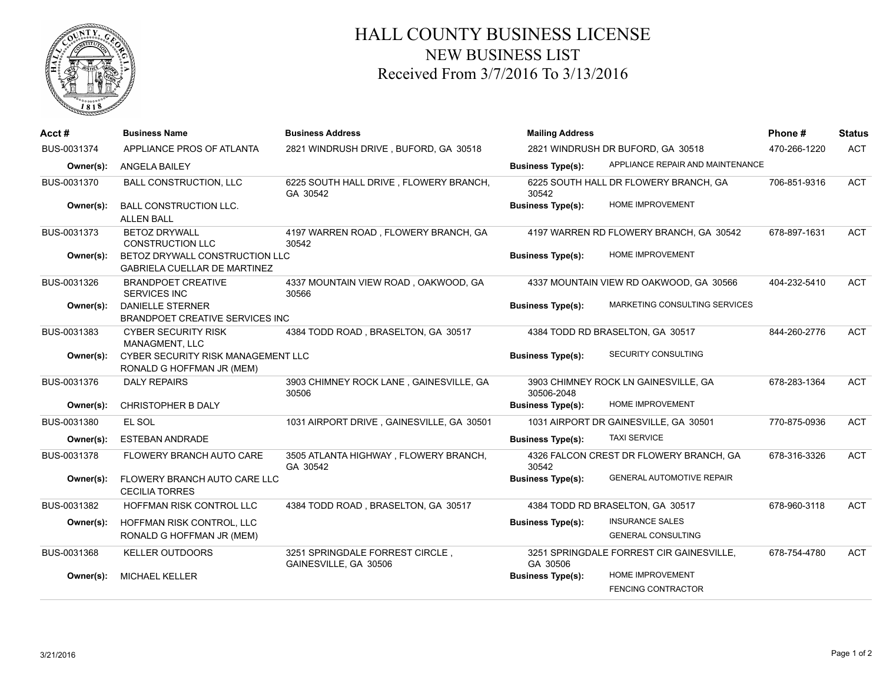

## HALL COUNTY BUSINESS LICENSE NEW BUSINESS LIST Received From 3/7/2016 To 3/13/2016

| Acct #      | <b>Business Name</b>                                                  | <b>Business Address</b>                                  | <b>Mailing Address</b>            |                                                      | Phone#       | Status     |
|-------------|-----------------------------------------------------------------------|----------------------------------------------------------|-----------------------------------|------------------------------------------------------|--------------|------------|
| BUS-0031374 | APPLIANCE PROS OF ATLANTA                                             | 2821 WINDRUSH DRIVE, BUFORD, GA 30518                    | 2821 WINDRUSH DR BUFORD, GA 30518 |                                                      | 470-266-1220 | <b>ACT</b> |
| Owner(s):   | <b>ANGELA BAILEY</b>                                                  |                                                          | <b>Business Type(s):</b>          | APPLIANCE REPAIR AND MAINTENANCE                     |              |            |
| BUS-0031370 | <b>BALL CONSTRUCTION, LLC</b>                                         | 6225 SOUTH HALL DRIVE, FLOWERY BRANCH,<br>GA 30542       | 30542                             | 6225 SOUTH HALL DR FLOWERY BRANCH, GA                | 706-851-9316 | <b>ACT</b> |
| Owner(s):   | <b>BALL CONSTRUCTION LLC.</b><br><b>ALLEN BALL</b>                    |                                                          | <b>Business Type(s):</b>          | <b>HOME IMPROVEMENT</b>                              |              |            |
| BUS-0031373 | <b>BETOZ DRYWALL</b><br><b>CONSTRUCTION LLC</b>                       | 4197 WARREN ROAD, FLOWERY BRANCH, GA<br>30542            |                                   | 4197 WARREN RD FLOWERY BRANCH, GA 30542              | 678-897-1631 | <b>ACT</b> |
| Owner(s):   | BETOZ DRYWALL CONSTRUCTION LLC<br><b>GABRIELA CUELLAR DE MARTINEZ</b> |                                                          | <b>Business Type(s):</b>          | <b>HOME IMPROVEMENT</b>                              |              |            |
| BUS-0031326 | <b>BRANDPOET CREATIVE</b><br><b>SERVICES INC</b>                      | 4337 MOUNTAIN VIEW ROAD, OAKWOOD, GA<br>30566            |                                   | 4337 MOUNTAIN VIEW RD OAKWOOD, GA 30566              | 404-232-5410 | <b>ACT</b> |
| Owner(s):   | <b>DANIELLE STERNER</b><br>BRANDPOET CREATIVE SERVICES INC            |                                                          | <b>Business Type(s):</b>          | MARKETING CONSULTING SERVICES                        |              |            |
| BUS-0031383 | <b>CYBER SECURITY RISK</b><br><b>MANAGMENT, LLC</b>                   | 4384 TODD ROAD, BRASELTON, GA 30517                      |                                   | 4384 TODD RD BRASELTON, GA 30517                     | 844-260-2776 | <b>ACT</b> |
| Owner(s):   | CYBER SECURITY RISK MANAGEMENT LLC<br>RONALD G HOFFMAN JR (MEM)       |                                                          | <b>Business Type(s):</b>          | SECURITY CONSULTING                                  |              |            |
| BUS-0031376 | <b>DALY REPAIRS</b>                                                   | 3903 CHIMNEY ROCK LANE, GAINESVILLE, GA<br>30506         | 30506-2048                        | 3903 CHIMNEY ROCK LN GAINESVILLE, GA                 | 678-283-1364 | <b>ACT</b> |
| Owner(s):   | <b>CHRISTOPHER B DALY</b>                                             |                                                          | <b>Business Type(s):</b>          | HOME IMPROVEMENT                                     |              |            |
| BUS-0031380 | EL SOL                                                                | 1031 AIRPORT DRIVE, GAINESVILLE, GA 30501                |                                   | 1031 AIRPORT DR GAINESVILLE, GA 30501                | 770-875-0936 | <b>ACT</b> |
| Owner(s):   | <b>ESTEBAN ANDRADE</b>                                                |                                                          | <b>Business Type(s):</b>          | <b>TAXI SERVICE</b>                                  |              |            |
| BUS-0031378 | FLOWERY BRANCH AUTO CARE                                              | 3505 ATLANTA HIGHWAY, FLOWERY BRANCH,<br>GA 30542        | 30542                             | 4326 FALCON CREST DR FLOWERY BRANCH, GA              | 678-316-3326 | <b>ACT</b> |
| Owner(s):   | FLOWERY BRANCH AUTO CARE LLC<br><b>CECILIA TORRES</b>                 |                                                          | <b>Business Type(s):</b>          | <b>GENERAL AUTOMOTIVE REPAIR</b>                     |              |            |
| BUS-0031382 | HOFFMAN RISK CONTROL LLC                                              | 4384 TODD ROAD, BRASELTON, GA 30517                      |                                   | 4384 TODD RD BRASELTON, GA 30517                     | 678-960-3118 | <b>ACT</b> |
| Owner(s):   | HOFFMAN RISK CONTROL, LLC<br>RONALD G HOFFMAN JR (MEM)                |                                                          | <b>Business Type(s):</b>          | <b>INSURANCE SALES</b><br><b>GENERAL CONSULTING</b>  |              |            |
| BUS-0031368 | <b>KELLER OUTDOORS</b>                                                | 3251 SPRINGDALE FORREST CIRCLE,<br>GAINESVILLE, GA 30506 | GA 30506                          | 3251 SPRINGDALE FORREST CIR GAINESVILLE,             | 678-754-4780 | <b>ACT</b> |
| Owner(s):   | MICHAEL KELLER                                                        |                                                          | <b>Business Type(s):</b>          | <b>HOME IMPROVEMENT</b><br><b>FENCING CONTRACTOR</b> |              |            |